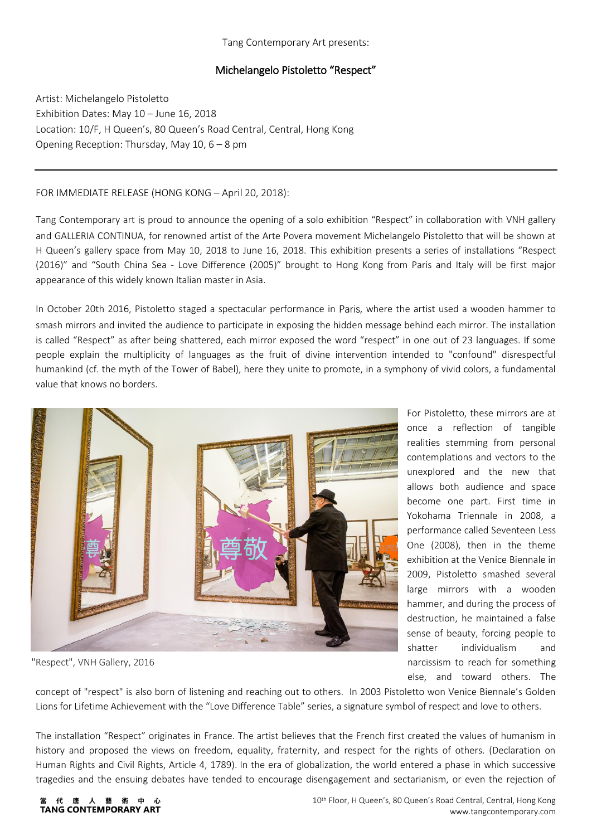### Tang Contemporary Art presents:

# Michelangelo Pistoletto "Respect"

Artist: Michelangelo Pistoletto Exhibition Dates: May 10 – June 16, 2018 Location: 10/F, H Queen's, 80 Queen's Road Central, Central, Hong Kong Opening Reception: Thursday, May 10, 6 – 8 pm

## FOR IMMEDIATE RELEASE (HONG KONG – April 20, 2018):

Tang Contemporary art is proud to announce the opening of a solo exhibition "Respect" in collaboration with VNH gallery and GALLERIA CONTINUA, for renowned artist of the Arte Povera movement Michelangelo Pistoletto that will be shown at H Queen's gallery space from May 10, 2018 to June 16, 2018. This exhibition presents a series of installations "Respect (2016)" and "South China Sea - Love Difference (2005)" brought to Hong Kong from Paris and Italy will be first major appearance of this widely known Italian master in Asia.

In October 20th 2016, Pistoletto staged a spectacular performance in Paris, where the artist used a wooden hammer to smash mirrors and invited the audience to participate in exposing the hidden message behind each mirror. The installation is called "Respect" as after being shattered, each mirror exposed the word "respect" in one out of 23 languages. If some people explain the multiplicity of languages as the fruit of divine intervention intended to "confound" disrespectful humankind (cf. the myth of the Tower of Babel), here they unite to promote, in a symphony of vivid colors, a fundamental value that knows no borders.



"Respect", VNH Gallery, 2016

For Pistoletto, these mirrors are at once a reflection of tangible realities stemming from personal contemplations and vectors to the unexplored and the new that allows both audience and space become one part. First time in Yokohama Triennale in 2008, a performance called Seventeen Less One (2008), then in the theme exhibition at the Venice Biennale in 2009, Pistoletto smashed several large mirrors with a wooden hammer, and during the process of destruction, he maintained a false sense of beauty, forcing people to shatter individualism and narcissism to reach for something else, and toward others. The

concept of "respect" is also born of listening and reaching out to others. In 2003 Pistoletto won Venice Biennale's Golden Lions for Lifetime Achievement with the "Love Difference Table" series, a signature symbol of respect and love to others.

The installation "Respect" originates in France. The artist believes that the French first created the values of humanism in history and proposed the views on freedom, equality, fraternity, and respect for the rights of others. (Declaration on Human Rights and Civil Rights, Article 4, 1789). In the era of globalization, the world entered a phase in which successive tragedies and the ensuing debates have tended to encourage disengagement and sectarianism, or even the rejection of

#### 術 唐 藝 TANG CONTEMPORARY ART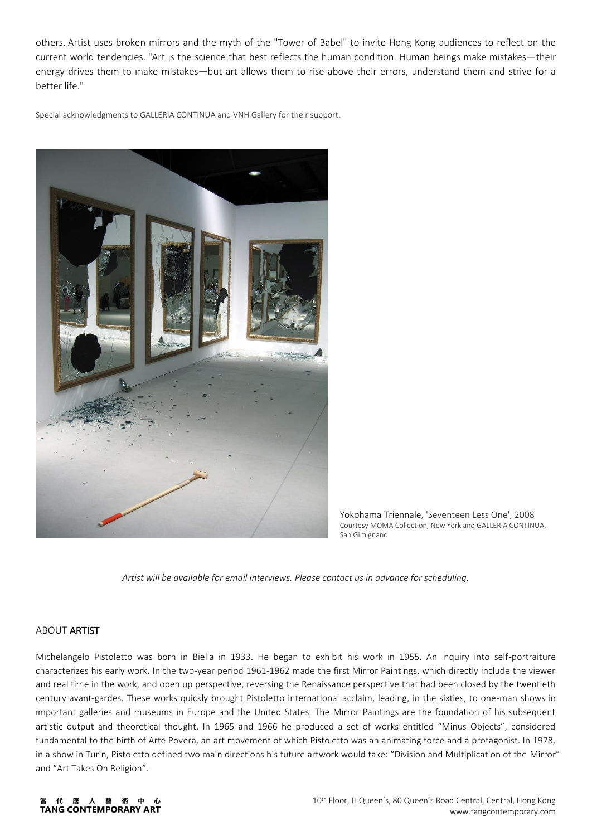others. Artist uses broken mirrors and the myth of the "Tower of Babel" to invite Hong Kong audiences to reflect on the current world tendencies. "Art is the science that best reflects the human condition. Human beings make mistakes—their energy drives them to make mistakes—but art allows them to rise above their errors, understand them and strive for a better life."

Special acknowledgments to GALLERIA CONTINUA and VNH Gallery for their support.



Yokohama Triennale, 'Seventeen Less One', 2008 Courtesy MOMA Collection, New York and GALLERIA CONTINUA, San Gimignano

*Artist will be available for email interviews. Please contact us in advance for scheduling.*

### ABOUT ARTIST

Michelangelo Pistoletto was born in Biella in 1933. He began to exhibit his work in 1955. An inquiry into self-portraiture characterizes his early work. In the two-year period 1961-1962 made the first Mirror Paintings, which directly include the viewer and real time in the work, and open up perspective, reversing the Renaissance perspective that had been closed by the twentieth century avant-gardes. These works quickly brought Pistoletto international acclaim, leading, in the sixties, to one-man shows in important galleries and museums in Europe and the United States. The Mirror Paintings are the foundation of his subsequent artistic output and theoretical thought. In 1965 and 1966 he produced a set of works entitled "Minus Objects", considered fundamental to the birth of Arte Povera, an art movement of which Pistoletto was an animating force and a protagonist. In 1978, in a show in Turin, Pistoletto defined two main directions his future artwork would take: "Division and Multiplication of the Mirror" and "Art Takes On Religion".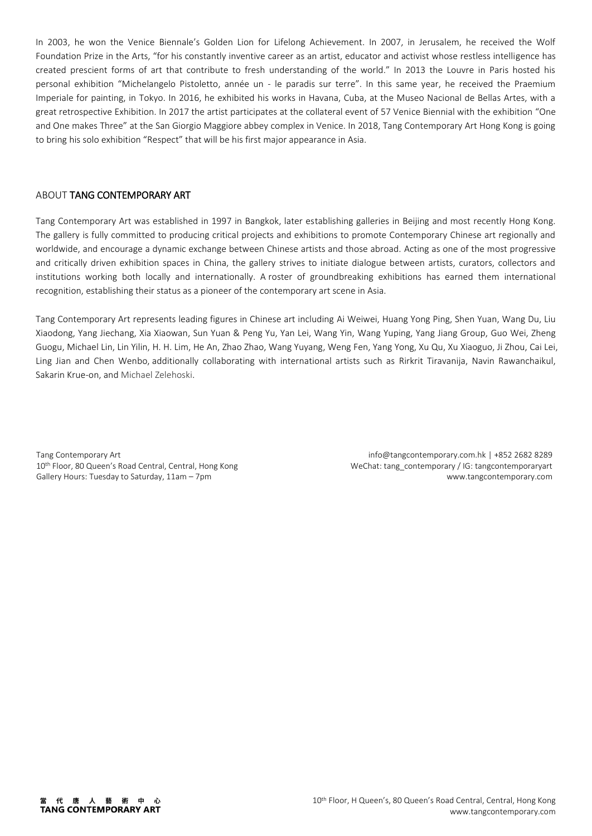In 2003, he won the Venice Biennale's Golden Lion for Lifelong Achievement. In 2007, in Jerusalem, he received the Wolf Foundation Prize in the Arts, "for his constantly inventive career as an artist, educator and activist whose restless intelligence has created prescient forms of art that contribute to fresh understanding of the world." In 2013 the Louvre in Paris hosted his personal exhibition "Michelangelo Pistoletto, année un - le paradis sur terre". In this same year, he received the Praemium Imperiale for painting, in Tokyo. In 2016, he exhibited his works in Havana, Cuba, at the Museo Nacional de Bellas Artes, with a great retrospective Exhibition. In 2017 the artist participates at the collateral event of 57 Venice Biennial with the exhibition "One and One makes Three" at the San Giorgio Maggiore abbey complex in Venice. In 2018, Tang Contemporary Art Hong Kong is going to bring his solo exhibition "Respect" that will be his first major appearance in Asia.

### ABOUT TANG CONTEMPORARY ART

Tang Contemporary Art was established in 1997 in Bangkok, later establishing galleries in Beijing and most recently Hong Kong. The gallery is fully committed to producing critical projects and exhibitions to promote Contemporary Chinese art regionally and worldwide, and encourage a dynamic exchange between Chinese artists and those abroad. Acting as one of the most progressive and critically driven exhibition spaces in China, the gallery strives to initiate dialogue between artists, curators, collectors and institutions working both locally and internationally. A roster of groundbreaking exhibitions has earned them international recognition, establishing their status as a pioneer of the contemporary art scene in Asia.

Tang Contemporary Art represents leading figures in Chinese art including Ai Weiwei, Huang Yong Ping, Shen Yuan, Wang Du, Liu Xiaodong, Yang Jiechang, Xia Xiaowan, Sun Yuan & Peng Yu, Yan Lei, Wang Yin, Wang Yuping, Yang Jiang Group, Guo Wei, Zheng Guogu, Michael Lin, Lin Yilin, H. H. Lim, He An, Zhao Zhao, Wang Yuyang, Weng Fen, Yang Yong, Xu Qu, Xu Xiaoguo, Ji Zhou, Cai Lei, Ling Jian and Chen Wenbo, additionally collaborating with international artists such as Rirkrit Tiravanija, Navin Rawanchaikul, Sakarin Krue-on, and Michael Zelehoski.

Tang Contemporary Art 10<sup>th</sup> Floor, 80 Queen's Road Central, Central, Hong Kong Gallery Hours: Tuesday to Saturday, 11am – 7pm

info@tangcontemporary.com.hk | +852 2682 8289 WeChat: tang\_contemporary / IG: tangcontemporaryart www.tangcontemporary.com